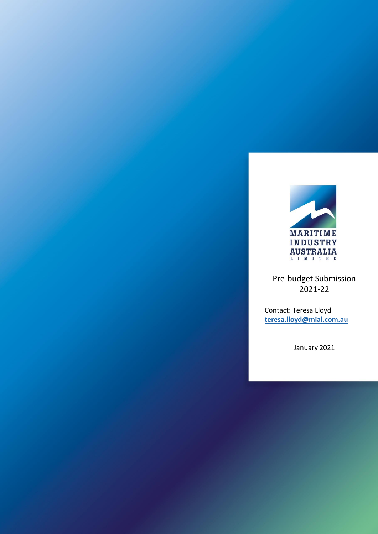

Pre-budget Submission 2021-22

Contact: Teresa Lloyd **[teresa.lloyd@mial.com.au](mailto:teresa.lloyd@mial.com.au)**

January 2021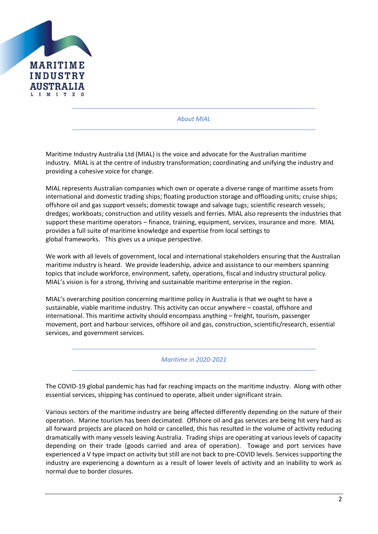

*About MIAL*

Maritime Industry Australia Ltd (MIAL) is the voice and advocate for the Australian maritime industry. MIAL is at the centre of industry transformation; coordinating and unifying the industry and providing a cohesive voice for change.

MIAL represents Australian companies which own or operate a diverse range of maritime assets from international and domestic trading ships; floating production storage and offloading units; cruise ships; offshore oil and gas support vessels; domestic towage and salvage tugs; scientific research vessels; dredges; workboats; construction and utility vessels and ferries. MIAL also represents the industries that support these maritime operators – finance, training, equipment, services, insurance and more. MIAL provides a full suite of maritime knowledge and expertise from local settings to global frameworks. This gives us a unique perspective.

We work with all levels of government, local and international stakeholders ensuring that the Australian maritime industry is heard. We provide leadership, advice and assistance to our members spanning topics that include workforce, environment, safety, operations, fiscal and industry structural policy. MIAL's vision is for a strong, thriving and sustainable maritime enterprise in the region.

MIAL's overarching position concerning maritime policy in Australia is that we ought to have a sustainable, viable maritime industry. This activity can occur anywhere – coastal, offshore and international. This maritime activity should encompass anything – freight, tourism, passenger movement, port and harbour services, offshore oil and gas, construction, scientific/research, essential services, and government services.

*Maritime in 2020-2021*

The COVID-19 global pandemic has had far reaching impacts on the maritime industry. Along with other essential services, shipping has continued to operate, albeit under significant strain.

Various sectors of the maritime industry are being affected differently depending on the nature of their operation. Marine tourism has been decimated. Offshore oil and gas services are being hit very hard as all forward projects are placed on hold or cancelled, this has resulted in the volume of activity reducing dramatically with many vessels leaving Australia. Trading ships are operating at various levels of capacity depending on their trade (goods carried and area of operation). Towage and port services have experienced a V type impact on activity but still are not back to pre-COVID levels. Services supporting the industry are experiencing a downturn as a result of lower levels of activity and an inability to work as normal due to border closures.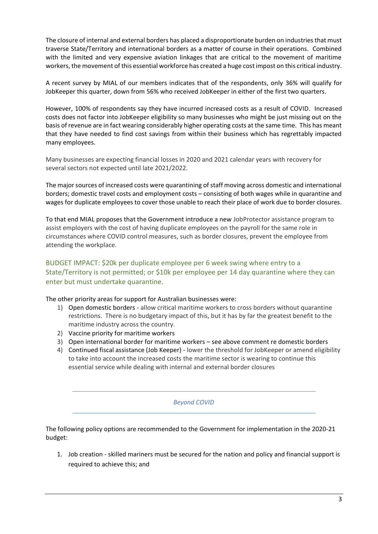The closure of internal and external borders has placed a disproportionate burden on industries that must traverse State/Territory and international borders as a matter of course in their operations. Combined with the limited and very expensive aviation linkages that are critical to the movement of maritime workers, the movement of this essential workforce has created a huge cost impost on this critical industry.

A recent survey by MIAL of our members indicates that of the respondents, only 36% will qualify for JobKeeper this quarter, down from 56% who received JobKeeper in either of the first two quarters.

However, 100% of respondents say they have incurred increased costs as a result of COVID. Increased costs does not factor into JobKeeper eligibility so many businesses who might be just missing out on the basis of revenue are in fact wearing considerably higher operating costs at the same time. This has meant that they have needed to find cost savings from within their business which has regrettably impacted many employees.

Many businesses are expecting financial losses in 2020 and 2021 calendar years with recovery for several sectors not expected until late 2021/2022.

The major sources of increased costs were quarantining of staff moving across domestic and international borders; domestic travel costs and employment costs – consisting of both wages while in quarantine and wages for duplicate employees to cover those unable to reach their place of work due to border closures.

To that end MIAL proposes that the Government introduce a new JobProtector assistance program to assist employers with the cost of having duplicate employees on the payroll for the same role in circumstances where COVID control measures, such as border closures, prevent the employee from attending the workplace.

#### BUDGET IMPACT: \$20k per duplicate employee per 6 week swing where entry to a State/Territory is not permitted; or \$10k per employee per 14 day quarantine where they can enter but must undertake quarantine.

#### The other priority areas for support for Australian businesses were:

- 1) Open domestic borders allow critical maritime workers to cross borders without quarantine restrictions. There is no budgetary impact of this, but it has by far the greatest benefit to the maritime industry across the country.
- 2) Vaccine priority for maritime workers
- 3) Open international border for maritime workers see above comment re domestic borders
- 4) Continued fiscal assistance (Job Keeper) lower the threshold for JobKeeper or amend eligibility to take into account the increased costs the maritime sector is wearing to continue this essential service while dealing with internal and external border closures

#### *Beyond COVID*

The following policy options are recommended to the Government for implementation in the 2020-21 budget:

1. Job creation - skilled mariners must be secured for the nation and policy and financial support is required to achieve this; and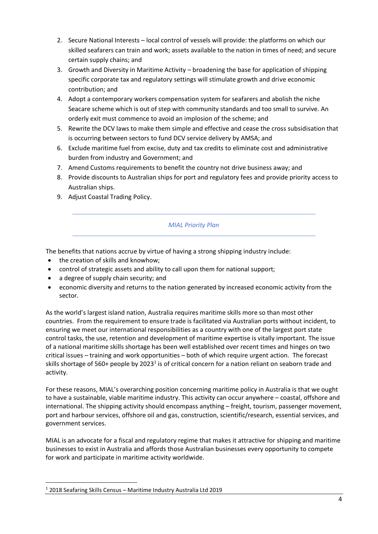- 2. Secure National Interests local control of vessels will provide: the platforms on which our skilled seafarers can train and work; assets available to the nation in times of need; and secure certain supply chains; and
- 3. Growth and Diversity in Maritime Activity broadening the base for application of shipping specific corporate tax and regulatory settings will stimulate growth and drive economic contribution; and
- 4. Adopt a contemporary workers compensation system for seafarers and abolish the niche Seacare scheme which is out of step with community standards and too small to survive. An orderly exit must commence to avoid an implosion of the scheme; and
- 5. Rewrite the DCV laws to make them simple and effective and cease the cross subsidisation that is occurring between sectors to fund DCV service delivery by AMSA; and
- 6. Exclude maritime fuel from excise, duty and tax credits to eliminate cost and administrative burden from industry and Government; and
- 7. Amend Customs requirements to benefit the country not drive business away; and
- 8. Provide discounts to Australian ships for port and regulatory fees and provide priority access to Australian ships.
- 9. Adjust Coastal Trading Policy.

#### *MIAL Priority Plan*

The benefits that nations accrue by virtue of having a strong shipping industry include:

- the creation of skills and knowhow;
- control of strategic assets and ability to call upon them for national support;
- a degree of supply chain security; and
- economic diversity and returns to the nation generated by increased economic activity from the sector.

As the world's largest island nation, Australia requires maritime skills more so than most other countries. From the requirement to ensure trade is facilitated via Australian ports without incident, to ensuring we meet our international responsibilities as a country with one of the largest port state control tasks, the use, retention and development of maritime expertise is vitally important. The issue of a national maritime skills shortage has been well established over recent times and hinges on two critical issues – training and work opportunities – both of which require urgent action. The forecast skills shortage of 560+ people by 2023<sup>1</sup> is of critical concern for a nation reliant on seaborn trade and activity.

For these reasons, MIAL's overarching position concerning maritime policy in Australia is that we ought to have a sustainable, viable maritime industry. This activity can occur anywhere – coastal, offshore and international. The shipping activity should encompass anything – freight, tourism, passenger movement, port and harbour services, offshore oil and gas, construction, scientific/research, essential services, and government services.

MIAL is an advocate for a fiscal and regulatory regime that makes it attractive for shipping and maritime businesses to exist in Australia and affords those Australian businesses every opportunity to compete for work and participate in maritime activity worldwide.

<sup>1</sup> 2018 Seafaring Skills Census – Maritime Industry Australia Ltd 2019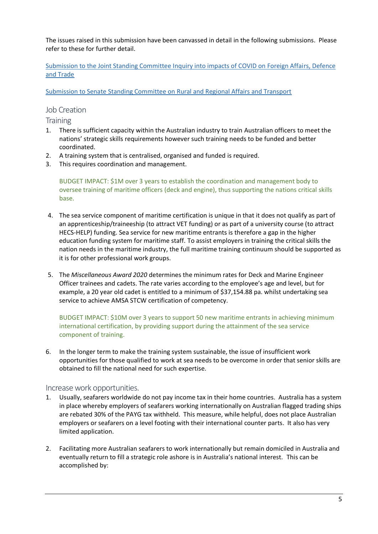The issues raised in this submission have been canvassed in detail in the following submissions. Please refer to these for further detail.

[Submission to the Joint Standing Committee Inquiry into impacts of COVID on Foreign Affairs, Defence](https://mial.com.au/docs/3697deb2-6dec-4d50-9098-49b3c60aad61/200729%20MIAL%20Submission%20Inquiry%20into%20the%20Implications%20of%20the%20COVID19%20Pandemic%20(002).pdf)  [and Trade](https://mial.com.au/docs/3697deb2-6dec-4d50-9098-49b3c60aad61/200729%20MIAL%20Submission%20Inquiry%20into%20the%20Implications%20of%20the%20COVID19%20Pandemic%20(002).pdf)

[Submission to Senate Standing Committee on Rural and Regional Affairs and Transport](https://mial.com.au/docs/d68f6455-2d39-4a2f-aa65-c1bfc37dec5d/MIAL%20Submission%20policy%20regulatory%20taxation%20administrative%20and%20funding%20priorities%20for%20Australian%20Shipping%20050319%20Final.pdf)

#### Job Creation

**Training** 

- 1. There is sufficient capacity within the Australian industry to train Australian officers to meet the nations' strategic skills requirements however such training needs to be funded and better coordinated.
- 2. A training system that is centralised, organised and funded is required.
- 3. This requires coordination and management.

BUDGET IMPACT: \$1M over 3 years to establish the coordination and management body to oversee training of maritime officers (deck and engine), thus supporting the nations critical skills base.

- 4. The sea service component of maritime certification is unique in that it does not qualify as part of an apprenticeship/traineeship (to attract VET funding) or as part of a university course (to attract HECS-HELP) funding. Sea service for new maritime entrants is therefore a gap in the higher education funding system for maritime staff. To assist employers in training the critical skills the nation needs in the maritime industry, the full maritime training continuum should be supported as it is for other professional work groups.
- 5. The *Miscellaneous Award 2020* determines the minimum rates for Deck and Marine Engineer Officer trainees and cadets. The rate varies according to the employee's age and level, but for example, a 20 year old cadet is entitled to a minimum of \$37,154.88 pa. whilst undertaking sea service to achieve AMSA STCW certification of competency.

BUDGET IMPACT: \$10M over 3 years to support 50 new maritime entrants in achieving minimum international certification, by providing support during the attainment of the sea service component of training.

6. In the longer term to make the training system sustainable, the issue of insufficient work opportunities for those qualified to work at sea needs to be overcome in order that senior skills are obtained to fill the national need for such expertise.

#### Increase work opportunities.

- 1. Usually, seafarers worldwide do not pay income tax in their home countries. Australia has a system in place whereby employers of seafarers working internationally on Australian flagged trading ships are rebated 30% of the PAYG tax withheld. This measure, while helpful, does not place Australian employers or seafarers on a level footing with their international counter parts. It also has very limited application.
- 2. Facilitating more Australian seafarers to work internationally but remain domiciled in Australia and eventually return to fill a strategic role ashore is in Australia's national interest. This can be accomplished by: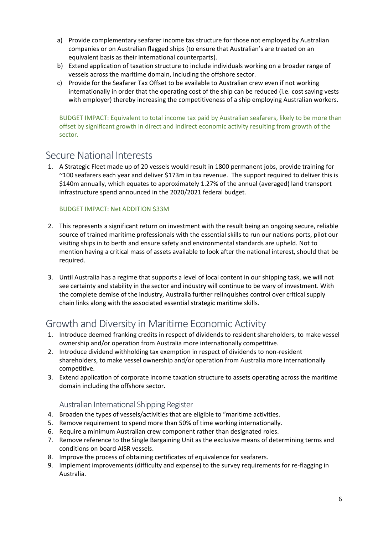- a) Provide complementary seafarer income tax structure for those not employed by Australian companies or on Australian flagged ships (to ensure that Australian's are treated on an equivalent basis as their international counterparts).
- b) Extend application of taxation structure to include individuals working on a broader range of vessels across the maritime domain, including the offshore sector.
- c) Provide for the Seafarer Tax Offset to be available to Australian crew even if not working internationally in order that the operating cost of the ship can be reduced (i.e. cost saving vests with employer) thereby increasing the competitiveness of a ship employing Australian workers.

BUDGET IMPACT: Equivalent to total income tax paid by Australian seafarers, likely to be more than offset by significant growth in direct and indirect economic activity resulting from growth of the sector.

## Secure National Interests

1. A Strategic Fleet made up of 20 vessels would result in 1800 permanent jobs, provide training for ~100 seafarers each year and deliver \$173m in tax revenue. The support required to deliver this is \$140m annually, which equates to approximately 1.27% of the annual (averaged) land transport infrastructure spend announced in the 2020/2021 federal budget.

#### BUDGET IMPACT: Net ADDITION \$33M

- 2. This represents a significant return on investment with the result being an ongoing secure, reliable source of trained maritime professionals with the essential skills to run our nations ports, pilot our visiting ships in to berth and ensure safety and environmental standards are upheld. Not to mention having a critical mass of assets available to look after the national interest, should that be required.
- 3. Until Australia has a regime that supports a level of local content in our shipping task, we will not see certainty and stability in the sector and industry will continue to be wary of investment. With the complete demise of the industry, Australia further relinquishes control over critical supply chain links along with the associated essential strategic maritime skills.

# Growth and Diversity in Maritime Economic Activity

- 1. Introduce deemed franking credits in respect of dividends to resident shareholders, to make vessel ownership and/or operation from Australia more internationally competitive.
- 2. Introduce dividend withholding tax exemption in respect of dividends to non-resident shareholders, to make vessel ownership and/or operation from Australia more internationally competitive.
- 3. Extend application of corporate income taxation structure to assets operating across the maritime domain including the offshore sector.

#### Australian International Shipping Register

- 4. Broaden the types of vessels/activities that are eligible to "maritime activities.
- 5. Remove requirement to spend more than 50% of time working internationally.
- 6. Require a minimum Australian crew component rather than designated roles.
- 7. Remove reference to the Single Bargaining Unit as the exclusive means of determining terms and conditions on board AISR vessels.
- 8. Improve the process of obtaining certificates of equivalence for seafarers.
- 9. Implement improvements (difficulty and expense) to the survey requirements for re-flagging in Australia.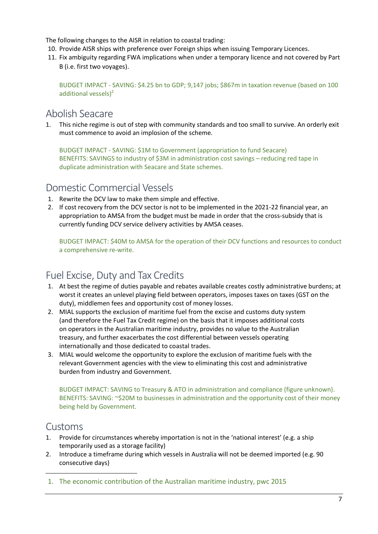The following changes to the AISR in relation to coastal trading:

- 10. Provide AISR ships with preference over Foreign ships when issuing Temporary Licences.
- 11. Fix ambiguity regarding FWA implications when under a temporary licence and not covered by Part B (i.e. first two voyages).

BUDGET IMPACT - SAVING: \$4.25 bn to GDP; 9,147 jobs; \$867m in taxation revenue (based on 100 additional vessels $)^2$ 

### Abolish Seacare

1. This niche regime is out of step with community standards and too small to survive. An orderly exit must commence to avoid an implosion of the scheme.

BUDGET IMPACT - SAVING: \$1M to Government (appropriation to fund Seacare) BENEFITS: SAVINGS to industry of \$3M in administration cost savings – reducing red tape in duplicate administration with Seacare and State schemes.

## Domestic Commercial Vessels

- 1. Rewrite the DCV law to make them simple and effective.
- 2. If cost recovery from the DCV sector is not to be implemented in the 2021-22 financial year, an appropriation to AMSA from the budget must be made in order that the cross-subsidy that is currently funding DCV service delivery activities by AMSA ceases.

BUDGET IMPACT: \$40M to AMSA for the operation of their DCV functions and resources to conduct a comprehensive re-write.

# Fuel Excise, Duty and Tax Credits

- 1. At best the regime of duties payable and rebates available creates costly administrative burdens; at worst it creates an unlevel playing field between operators, imposes taxes on taxes (GST on the duty), middlemen fees and opportunity cost of money losses.
- 2. MIAL supports the exclusion of maritime fuel from the excise and customs duty system (and therefore the Fuel Tax Credit regime) on the basis that it imposes additional costs on operators in the Australian maritime industry, provides no value to the Australian treasury, and further exacerbates the cost differential between vessels operating internationally and those dedicated to coastal trades.
- 3. MIAL would welcome the opportunity to explore the exclusion of maritime fuels with the relevant Government agencies with the view to eliminating this cost and administrative burden from industry and Government.

BUDGET IMPACT: SAVING to Treasury & ATO in administration and compliance (figure unknown). BENEFITS: SAVING: ~\$20M to businesses in administration and the opportunity cost of their money being held by Government.

### Customs

- 1. Provide for circumstances whereby importation is not in the 'national interest' (e.g. a ship temporarily used as a storage facility)
- 2. Introduce a timeframe during which vessels in Australia will not be deemed imported (e.g. 90 consecutive days)
- 1. The economic contribution of the Australian maritime industry, pwc 2015